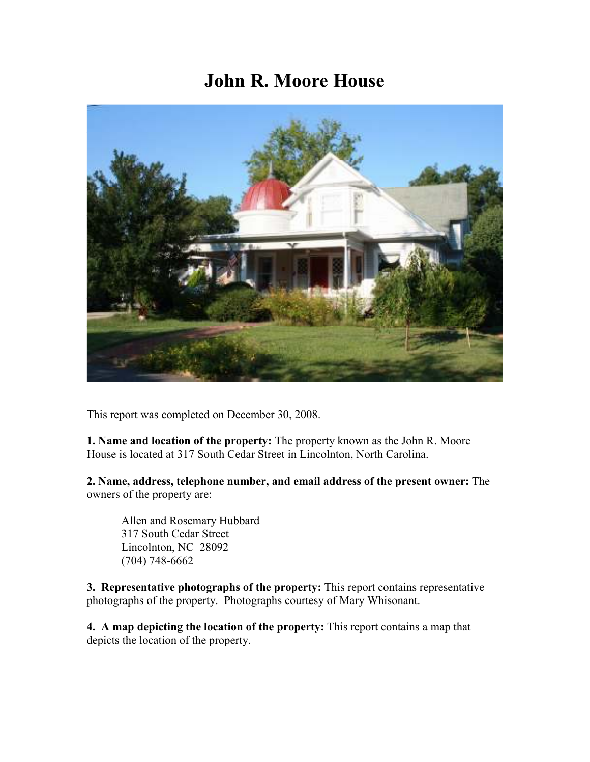# **John R. Moore House**



This report was completed on December 30, 2008.

**1. Name and location of the property:** The property known as the John R. Moore House is located at 317 South Cedar Street in Lincolnton, North Carolina.

**2. Name, address, telephone number, and email address of the present owner:** The owners of the property are:

 Allen and Rosemary Hubbard 317 South Cedar Street Lincolnton, NC 28092 (704) 748-6662

**3. Representative photographs of the property:** This report contains representative photographs of the property. Photographs courtesy of Mary Whisonant.

**4. A map depicting the location of the property:** This report contains a map that depicts the location of the property.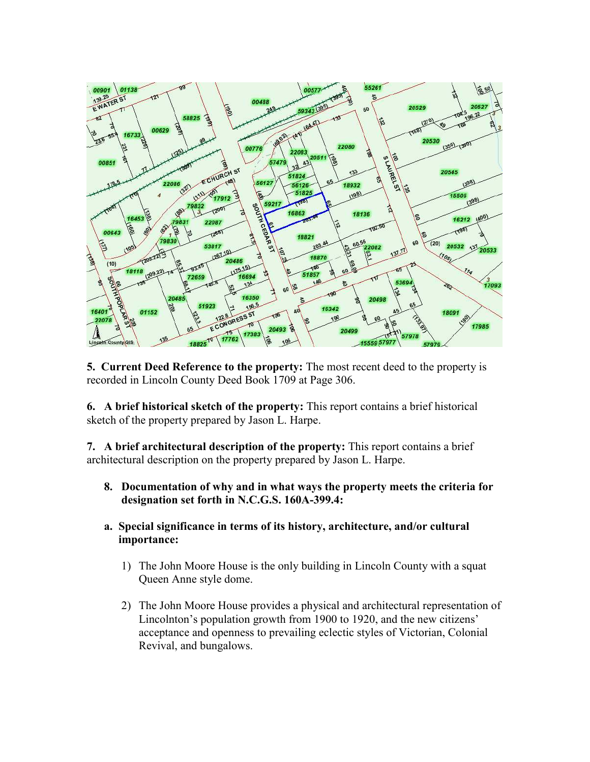

**5. Current Deed Reference to the property:** The most recent deed to the property is recorded in Lincoln County Deed Book 1709 at Page 306.

**6. A brief historical sketch of the property:** This report contains a brief historical sketch of the property prepared by Jason L. Harpe.

**7. A brief architectural description of the property:** This report contains a brief architectural description on the property prepared by Jason L. Harpe.

- **8. Documentation of why and in what ways the property meets the criteria for designation set forth in N.C.G.S. 160A-399.4:**
- **a. Special significance in terms of its history, architecture, and/or cultural importance:**
	- 1) The John Moore House is the only building in Lincoln County with a squat Queen Anne style dome.
	- 2) The John Moore House provides a physical and architectural representation of Lincolnton's population growth from 1900 to 1920, and the new citizens' acceptance and openness to prevailing eclectic styles of Victorian, Colonial Revival, and bungalows.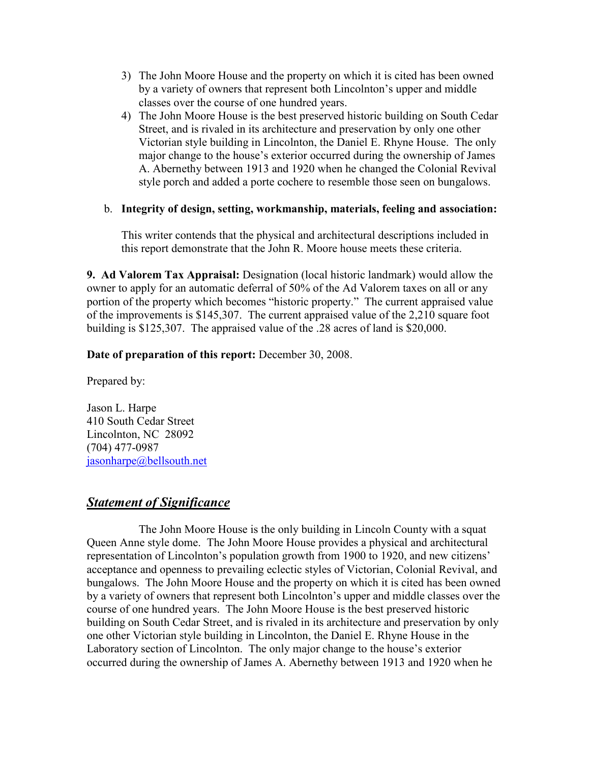- 3) The John Moore House and the property on which it is cited has been owned by a variety of owners that represent both Lincolnton's upper and middle classes over the course of one hundred years.
- 4) The John Moore House is the best preserved historic building on South Cedar Street, and is rivaled in its architecture and preservation by only one other Victorian style building in Lincolnton, the Daniel E. Rhyne House. The only major change to the house's exterior occurred during the ownership of James A. Abernethy between 1913 and 1920 when he changed the Colonial Revival style porch and added a porte cochere to resemble those seen on bungalows.

## b. **Integrity of design, setting, workmanship, materials, feeling and association:**

This writer contends that the physical and architectural descriptions included in this report demonstrate that the John R. Moore house meets these criteria.

**9. Ad Valorem Tax Appraisal:** Designation (local historic landmark) would allow the owner to apply for an automatic deferral of 50% of the Ad Valorem taxes on all or any portion of the property which becomes "historic property." The current appraised value of the improvements is \$145,307. The current appraised value of the 2,210 square foot building is \$125,307. The appraised value of the .28 acres of land is \$20,000.

# **Date of preparation of this report:** December 30, 2008.

Prepared by:

Jason L. Harpe 410 South Cedar Street Lincolnton, NC 28092 (704) 477-0987 jasonharpe@bellsouth.net

# *Statement of Significance*

 The John Moore House is the only building in Lincoln County with a squat Queen Anne style dome. The John Moore House provides a physical and architectural representation of Lincolnton's population growth from 1900 to 1920, and new citizens' acceptance and openness to prevailing eclectic styles of Victorian, Colonial Revival, and bungalows. The John Moore House and the property on which it is cited has been owned by a variety of owners that represent both Lincolnton's upper and middle classes over the course of one hundred years. The John Moore House is the best preserved historic building on South Cedar Street, and is rivaled in its architecture and preservation by only one other Victorian style building in Lincolnton, the Daniel E. Rhyne House in the Laboratory section of Lincolnton. The only major change to the house's exterior occurred during the ownership of James A. Abernethy between 1913 and 1920 when he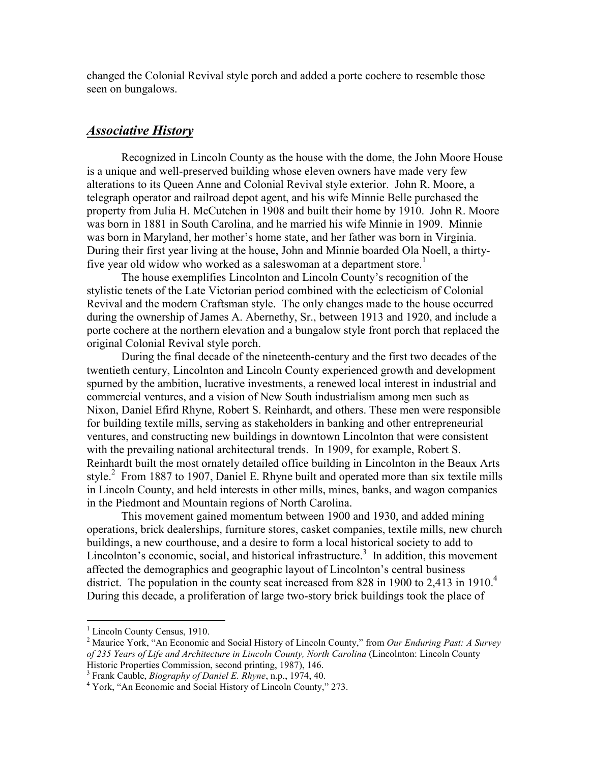changed the Colonial Revival style porch and added a porte cochere to resemble those seen on bungalows.

## *Associative History*

Recognized in Lincoln County as the house with the dome, the John Moore House is a unique and well-preserved building whose eleven owners have made very few alterations to its Queen Anne and Colonial Revival style exterior. John R. Moore, a telegraph operator and railroad depot agent, and his wife Minnie Belle purchased the property from Julia H. McCutchen in 1908 and built their home by 1910. John R. Moore was born in 1881 in South Carolina, and he married his wife Minnie in 1909. Minnie was born in Maryland, her mother's home state, and her father was born in Virginia. During their first year living at the house, John and Minnie boarded Ola Noell, a thirtyfive year old widow who worked as a saleswoman at a department store.<sup>1</sup>

The house exemplifies Lincolnton and Lincoln County's recognition of the stylistic tenets of the Late Victorian period combined with the eclecticism of Colonial Revival and the modern Craftsman style. The only changes made to the house occurred during the ownership of James A. Abernethy, Sr., between 1913 and 1920, and include a porte cochere at the northern elevation and a bungalow style front porch that replaced the original Colonial Revival style porch.

During the final decade of the nineteenth-century and the first two decades of the twentieth century, Lincolnton and Lincoln County experienced growth and development spurned by the ambition, lucrative investments, a renewed local interest in industrial and commercial ventures, and a vision of New South industrialism among men such as Nixon, Daniel Efird Rhyne, Robert S. Reinhardt, and others. These men were responsible for building textile mills, serving as stakeholders in banking and other entrepreneurial ventures, and constructing new buildings in downtown Lincolnton that were consistent with the prevailing national architectural trends. In 1909, for example, Robert S. Reinhardt built the most ornately detailed office building in Lincolnton in the Beaux Arts style.<sup>2</sup> From 1887 to 1907, Daniel E. Rhyne built and operated more than six textile mills in Lincoln County, and held interests in other mills, mines, banks, and wagon companies in the Piedmont and Mountain regions of North Carolina.

This movement gained momentum between 1900 and 1930, and added mining operations, brick dealerships, furniture stores, casket companies, textile mills, new church buildings, a new courthouse, and a desire to form a local historical society to add to Lincolnton's economic, social, and historical infrastructure.<sup>3</sup> In addition, this movement affected the demographics and geographic layout of Lincolnton's central business district. The population in the county seat increased from 828 in 1900 to 2,413 in 1910.<sup>4</sup> During this decade, a proliferation of large two-story brick buildings took the place of

<sup>&</sup>lt;sup>1</sup> Lincoln County Census, 1910.

<sup>2</sup> Maurice York, "An Economic and Social History of Lincoln County," from *Our Enduring Past: A Survey of 235 Years of Life and Architecture in Lincoln County, North Carolina* (Lincolnton: Lincoln County Historic Properties Commission, second printing, 1987), 146.

<sup>3</sup> Frank Cauble, *Biography of Daniel E. Rhyne*, n.p., 1974, 40.

<sup>4</sup> York, "An Economic and Social History of Lincoln County," 273.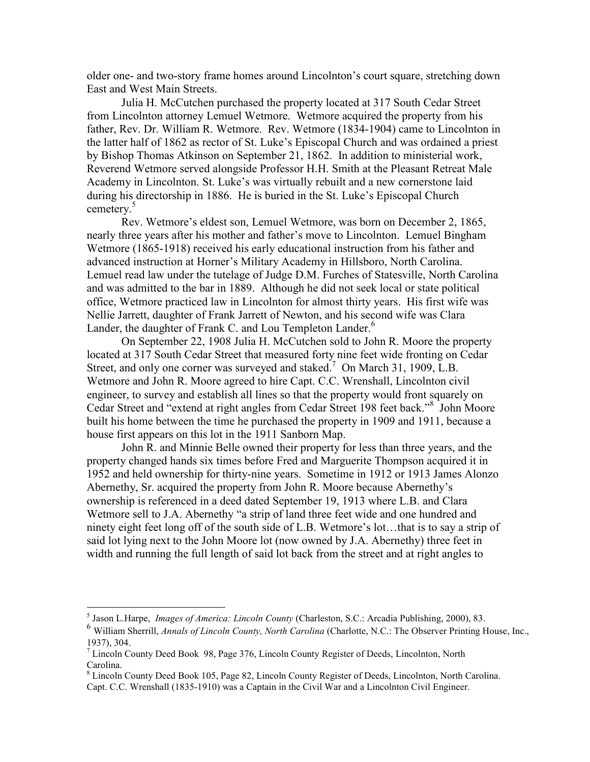older one- and two-story frame homes around Lincolnton's court square, stretching down East and West Main Streets.

Julia H. McCutchen purchased the property located at 317 South Cedar Street from Lincolnton attorney Lemuel Wetmore. Wetmore acquired the property from his father, Rev. Dr. William R. Wetmore. Rev. Wetmore (1834-1904) came to Lincolnton in the latter half of 1862 as rector of St. Luke's Episcopal Church and was ordained a priest by Bishop Thomas Atkinson on September 21, 1862. In addition to ministerial work, Reverend Wetmore served alongside Professor H.H. Smith at the Pleasant Retreat Male Academy in Lincolnton. St. Luke's was virtually rebuilt and a new cornerstone laid during his directorship in 1886. He is buried in the St. Luke's Episcopal Church cemetery.<sup>5</sup>

 Rev. Wetmore's eldest son, Lemuel Wetmore, was born on December 2, 1865, nearly three years after his mother and father's move to Lincolnton. Lemuel Bingham Wetmore (1865-1918) received his early educational instruction from his father and advanced instruction at Horner's Military Academy in Hillsboro, North Carolina. Lemuel read law under the tutelage of Judge D.M. Furches of Statesville, North Carolina and was admitted to the bar in 1889. Although he did not seek local or state political office, Wetmore practiced law in Lincolnton for almost thirty years. His first wife was Nellie Jarrett, daughter of Frank Jarrett of Newton, and his second wife was Clara Lander, the daughter of Frank C. and Lou Templeton Lander.<sup>6</sup>

 On September 22, 1908 Julia H. McCutchen sold to John R. Moore the property located at 317 South Cedar Street that measured forty nine feet wide fronting on Cedar Street, and only one corner was surveyed and staked.<sup>7</sup> On March 31, 1909, L.B. Wetmore and John R. Moore agreed to hire Capt. C.C. Wrenshall, Lincolnton civil engineer, to survey and establish all lines so that the property would front squarely on Cedar Street and "extend at right angles from Cedar Street 198 feet back."<sup>8</sup> John Moore built his home between the time he purchased the property in 1909 and 1911, because a house first appears on this lot in the 1911 Sanborn Map.

 John R. and Minnie Belle owned their property for less than three years, and the property changed hands six times before Fred and Marguerite Thompson acquired it in 1952 and held ownership for thirty-nine years. Sometime in 1912 or 1913 James Alonzo Abernethy, Sr. acquired the property from John R. Moore because Abernethy's ownership is referenced in a deed dated September 19, 1913 where L.B. and Clara Wetmore sell to J.A. Abernethy "a strip of land three feet wide and one hundred and ninety eight feet long off of the south side of L.B. Wetmore's lot…that is to say a strip of said lot lying next to the John Moore lot (now owned by J.A. Abernethy) three feet in width and running the full length of said lot back from the street and at right angles to

 5 Jason L.Harpe, *Images of America: Lincoln County* (Charleston, S.C.: Arcadia Publishing, 2000), 83.

<sup>6</sup> William Sherrill, *Annals of Lincoln County, North Carolina* (Charlotte, N.C.: The Observer Printing House, Inc., 1937), 304.

<sup>&</sup>lt;sup>7</sup> Lincoln County Deed Book 98, Page 376, Lincoln County Register of Deeds, Lincolnton, North Carolina.

<sup>&</sup>lt;sup>8</sup> Lincoln County Deed Book 105, Page 82, Lincoln County Register of Deeds, Lincolnton, North Carolina. Capt. C.C. Wrenshall (1835-1910) was a Captain in the Civil War and a Lincolnton Civil Engineer.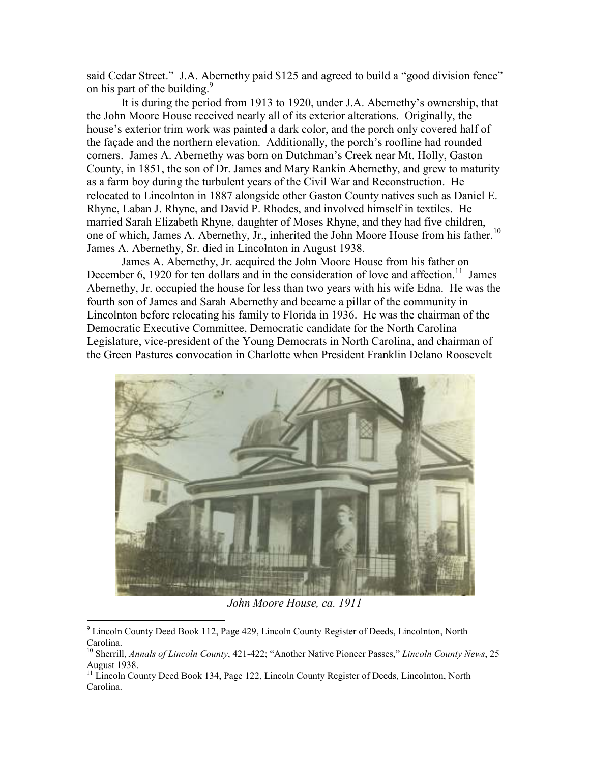said Cedar Street." J.A. Abernethy paid \$125 and agreed to build a "good division fence" on his part of the building.<sup>9</sup>

 It is during the period from 1913 to 1920, under J.A. Abernethy's ownership, that the John Moore House received nearly all of its exterior alterations. Originally, the house's exterior trim work was painted a dark color, and the porch only covered half of the façade and the northern elevation. Additionally, the porch's roofline had rounded corners. James A. Abernethy was born on Dutchman's Creek near Mt. Holly, Gaston County, in 1851, the son of Dr. James and Mary Rankin Abernethy, and grew to maturity as a farm boy during the turbulent years of the Civil War and Reconstruction. He relocated to Lincolnton in 1887 alongside other Gaston County natives such as Daniel E. Rhyne, Laban J. Rhyne, and David P. Rhodes, and involved himself in textiles. He married Sarah Elizabeth Rhyne, daughter of Moses Rhyne, and they had five children, one of which, James A. Abernethy, Jr., inherited the John Moore House from his father.<sup>10</sup> James A. Abernethy, Sr. died in Lincolnton in August 1938.

 James A. Abernethy, Jr. acquired the John Moore House from his father on December 6, 1920 for ten dollars and in the consideration of love and affection.<sup>11</sup> James Abernethy, Jr. occupied the house for less than two years with his wife Edna. He was the fourth son of James and Sarah Abernethy and became a pillar of the community in Lincolnton before relocating his family to Florida in 1936. He was the chairman of the Democratic Executive Committee, Democratic candidate for the North Carolina Legislature, vice-president of the Young Democrats in North Carolina, and chairman of the Green Pastures convocation in Charlotte when President Franklin Delano Roosevelt



*John Moore House, ca. 1911* 

 9 Lincoln County Deed Book 112, Page 429, Lincoln County Register of Deeds, Lincolnton, North Carolina.

<sup>10</sup> Sherrill, *Annals of Lincoln County*, 421-422; "Another Native Pioneer Passes," *Lincoln County News*, 25 August 1938.

<sup>&</sup>lt;sup>11</sup> Lincoln County Deed Book 134, Page 122, Lincoln County Register of Deeds, Lincolnton, North Carolina.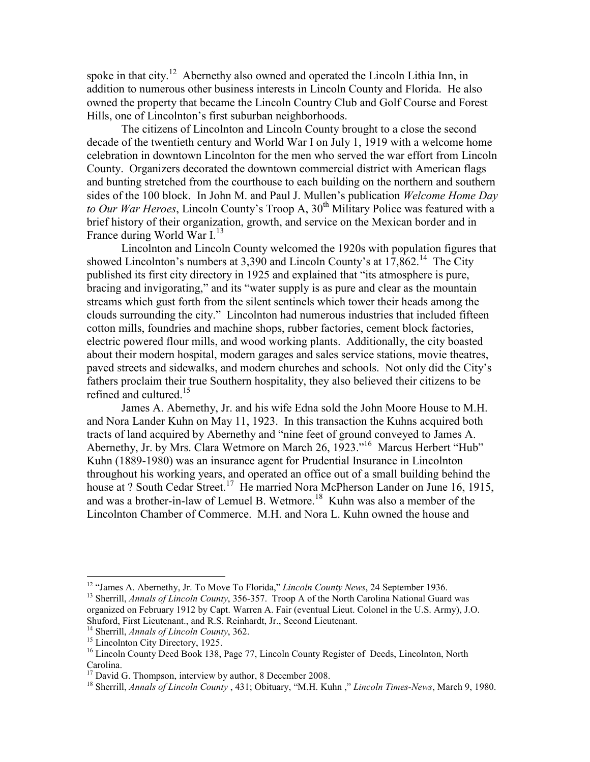spoke in that city.<sup>12</sup> Abernethy also owned and operated the Lincoln Lithia Inn, in addition to numerous other business interests in Lincoln County and Florida. He also owned the property that became the Lincoln Country Club and Golf Course and Forest Hills, one of Lincolnton's first suburban neighborhoods.

 The citizens of Lincolnton and Lincoln County brought to a close the second decade of the twentieth century and World War I on July 1, 1919 with a welcome home celebration in downtown Lincolnton for the men who served the war effort from Lincoln County. Organizers decorated the downtown commercial district with American flags and bunting stretched from the courthouse to each building on the northern and southern sides of the 100 block. In John M. and Paul J. Mullen's publication *Welcome Home Day to Our War Heroes*, Lincoln County's Troop A, 30<sup>th</sup> Military Police was featured with a brief history of their organization, growth, and service on the Mexican border and in France during World War I.<sup>13</sup>

 Lincolnton and Lincoln County welcomed the 1920s with population figures that showed Lincolnton's numbers at  $3,390$  and Lincoln County's at  $17,862$ <sup>14</sup> The City published its first city directory in 1925 and explained that "its atmosphere is pure, bracing and invigorating," and its "water supply is as pure and clear as the mountain streams which gust forth from the silent sentinels which tower their heads among the clouds surrounding the city." Lincolnton had numerous industries that included fifteen cotton mills, foundries and machine shops, rubber factories, cement block factories, electric powered flour mills, and wood working plants. Additionally, the city boasted about their modern hospital, modern garages and sales service stations, movie theatres, paved streets and sidewalks, and modern churches and schools. Not only did the City's fathers proclaim their true Southern hospitality, they also believed their citizens to be refined and cultured.<sup>15</sup>

 James A. Abernethy, Jr. and his wife Edna sold the John Moore House to M.H. and Nora Lander Kuhn on May 11, 1923. In this transaction the Kuhns acquired both tracts of land acquired by Abernethy and "nine feet of ground conveyed to James A. Abernethy, Jr. by Mrs. Clara Wetmore on March 26, 1923."<sup>16</sup> Marcus Herbert "Hub" Kuhn (1889-1980) was an insurance agent for Prudential Insurance in Lincolnton throughout his working years, and operated an office out of a small building behind the house at ? South Cedar Street.<sup>17</sup> He married Nora McPherson Lander on June 16, 1915, and was a brother-in-law of Lemuel B. Wetmore.<sup>18</sup> Kuhn was also a member of the Lincolnton Chamber of Commerce. M.H. and Nora L. Kuhn owned the house and

 $\overline{a}$ 

<sup>&</sup>lt;sup>12</sup> "James A. Abernethy, Jr. To Move To Florida," *Lincoln County News*, 24 September 1936.

<sup>&</sup>lt;sup>13</sup> Sherrill, *Annals of Lincoln County*, 356-357. Troop A of the North Carolina National Guard was organized on February 1912 by Capt. Warren A. Fair (eventual Lieut. Colonel in the U.S. Army), J.O. Shuford, First Lieutenant., and R.S. Reinhardt, Jr., Second Lieutenant.

<sup>14</sup> Sherrill, *Annals of Lincoln County*, 362.

<sup>&</sup>lt;sup>15</sup> Lincolnton City Directory, 1925.

<sup>&</sup>lt;sup>16</sup> Lincoln County Deed Book 138, Page 77, Lincoln County Register of Deeds, Lincolnton, North Carolina.

<sup>&</sup>lt;sup>17</sup> David G. Thompson, interview by author, 8 December 2008.

<sup>18</sup> Sherrill, *Annals of Lincoln County* , 431; Obituary, "M.H. Kuhn ," *Lincoln Times-News*, March 9, 1980.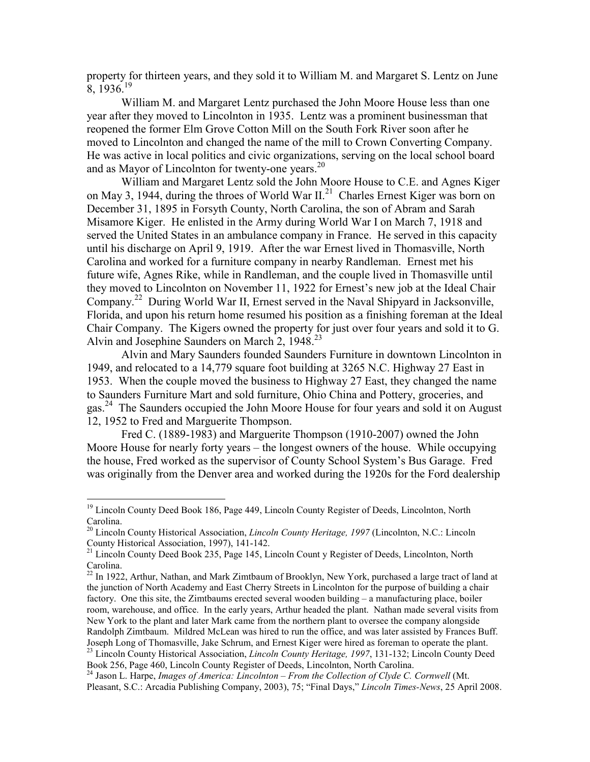property for thirteen years, and they sold it to William M. and Margaret S. Lentz on June  $8, 1936$ <sup>19</sup>

 William M. and Margaret Lentz purchased the John Moore House less than one year after they moved to Lincolnton in 1935. Lentz was a prominent businessman that reopened the former Elm Grove Cotton Mill on the South Fork River soon after he moved to Lincolnton and changed the name of the mill to Crown Converting Company. He was active in local politics and civic organizations, serving on the local school board and as Mayor of Lincolnton for twenty-one years.<sup>20</sup>

 William and Margaret Lentz sold the John Moore House to C.E. and Agnes Kiger on May 3, 1944, during the throes of World War  $II<sup>21</sup>$  Charles Ernest Kiger was born on December 31, 1895 in Forsyth County, North Carolina, the son of Abram and Sarah Misamore Kiger. He enlisted in the Army during World War I on March 7, 1918 and served the United States in an ambulance company in France. He served in this capacity until his discharge on April 9, 1919. After the war Ernest lived in Thomasville, North Carolina and worked for a furniture company in nearby Randleman. Ernest met his future wife, Agnes Rike, while in Randleman, and the couple lived in Thomasville until they moved to Lincolnton on November 11, 1922 for Ernest's new job at the Ideal Chair Company.<sup>22</sup> During World War II, Ernest served in the Naval Shipyard in Jacksonville, Florida, and upon his return home resumed his position as a finishing foreman at the Ideal Chair Company. The Kigers owned the property for just over four years and sold it to G. Alvin and Josephine Saunders on March 2, 1948.<sup>23</sup>

Alvin and Mary Saunders founded Saunders Furniture in downtown Lincolnton in 1949, and relocated to a 14,779 square foot building at 3265 N.C. Highway 27 East in 1953. When the couple moved the business to Highway 27 East, they changed the name to Saunders Furniture Mart and sold furniture, Ohio China and Pottery, groceries, and gas.<sup>24</sup> The Saunders occupied the John Moore House for four years and sold it on August 12, 1952 to Fred and Marguerite Thompson.

Fred C. (1889-1983) and Marguerite Thompson (1910-2007) owned the John Moore House for nearly forty years – the longest owners of the house. While occupying the house, Fred worked as the supervisor of County School System's Bus Garage. Fred was originally from the Denver area and worked during the 1920s for the Ford dealership

l

<sup>&</sup>lt;sup>19</sup> Lincoln County Deed Book 186, Page 449, Lincoln County Register of Deeds, Lincolnton, North Carolina.

<sup>20</sup> Lincoln County Historical Association, *Lincoln County Heritage, 1997* (Lincolnton, N.C.: Lincoln County Historical Association, 1997), 141-142.

<sup>&</sup>lt;sup>21</sup> Lincoln County Deed Book 235, Page 145, Lincoln Count y Register of Deeds, Lincolnton, North Carolina.

 $22$  In 1922, Arthur, Nathan, and Mark Zimtbaum of Brooklyn, New York, purchased a large tract of land at the junction of North Academy and East Cherry Streets in Lincolnton for the purpose of building a chair factory. One this site, the Zimtbaums erected several wooden building – a manufacturing place, boiler room, warehouse, and office. In the early years, Arthur headed the plant. Nathan made several visits from New York to the plant and later Mark came from the northern plant to oversee the company alongside Randolph Zimtbaum. Mildred McLean was hired to run the office, and was later assisted by Frances Buff. Joseph Long of Thomasville, Jake Schrum, and Ernest Kiger were hired as foreman to operate the plant. <sup>23</sup> Lincoln County Historical Association, *Lincoln County Heritage, 1997*, 131-132; Lincoln County Deed Book 256, Page 460, Lincoln County Register of Deeds, Lincolnton, North Carolina.

<sup>&</sup>lt;sup>24</sup> Jason L. Harpe, *Images of America: Lincolnton – From the Collection of Clyde C. Cornwell* (Mt. Pleasant, S.C.: Arcadia Publishing Company, 2003), 75; "Final Days," *Lincoln Times-News*, 25 April 2008.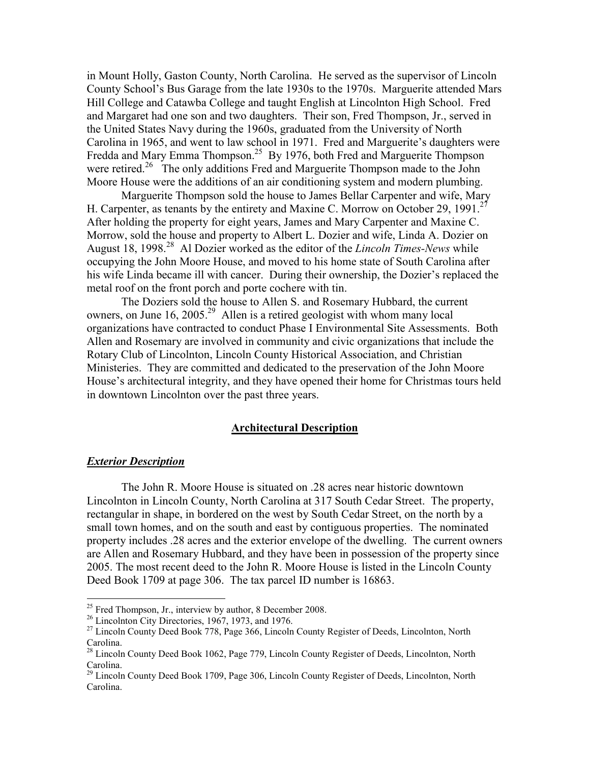in Mount Holly, Gaston County, North Carolina. He served as the supervisor of Lincoln County School's Bus Garage from the late 1930s to the 1970s. Marguerite attended Mars Hill College and Catawba College and taught English at Lincolnton High School. Fred and Margaret had one son and two daughters. Their son, Fred Thompson, Jr., served in the United States Navy during the 1960s, graduated from the University of North Carolina in 1965, and went to law school in 1971. Fred and Marguerite's daughters were Fredda and Mary Emma Thompson.<sup>25</sup> By 1976, both Fred and Marguerite Thompson were retired.<sup>26</sup> The only additions Fred and Marguerite Thompson made to the John Moore House were the additions of an air conditioning system and modern plumbing.

Marguerite Thompson sold the house to James Bellar Carpenter and wife, Mary H. Carpenter, as tenants by the entirety and Maxine C. Morrow on October 29, 1991.<sup>27</sup> After holding the property for eight years, James and Mary Carpenter and Maxine C. Morrow, sold the house and property to Albert L. Dozier and wife, Linda A. Dozier on August 18, 1998.<sup>28</sup> Al Dozier worked as the editor of the *Lincoln Times-News* while occupying the John Moore House, and moved to his home state of South Carolina after his wife Linda became ill with cancer. During their ownership, the Dozier's replaced the metal roof on the front porch and porte cochere with tin.

The Doziers sold the house to Allen S. and Rosemary Hubbard, the current owners, on June 16, 2005.<sup>29</sup> Allen is a retired geologist with whom many local organizations have contracted to conduct Phase I Environmental Site Assessments. Both Allen and Rosemary are involved in community and civic organizations that include the Rotary Club of Lincolnton, Lincoln County Historical Association, and Christian Ministeries. They are committed and dedicated to the preservation of the John Moore House's architectural integrity, and they have opened their home for Christmas tours held in downtown Lincolnton over the past three years.

#### **Architectural Description**

#### *Exterior Description*

 $\overline{a}$ 

The John R. Moore House is situated on .28 acres near historic downtown Lincolnton in Lincoln County, North Carolina at 317 South Cedar Street. The property, rectangular in shape, in bordered on the west by South Cedar Street, on the north by a small town homes, and on the south and east by contiguous properties. The nominated property includes .28 acres and the exterior envelope of the dwelling. The current owners are Allen and Rosemary Hubbard, and they have been in possession of the property since 2005. The most recent deed to the John R. Moore House is listed in the Lincoln County Deed Book 1709 at page 306. The tax parcel ID number is 16863.

 $25$  Fred Thompson, Jr., interview by author, 8 December 2008.

 $26$  Lincolnton City Directories, 1967, 1973, and 1976.

<sup>&</sup>lt;sup>27</sup> Lincoln County Deed Book 778, Page 366, Lincoln County Register of Deeds, Lincolnton, North Carolina.

<sup>&</sup>lt;sup>28</sup> Lincoln County Deed Book 1062, Page 779, Lincoln County Register of Deeds, Lincolnton, North Carolina.

<sup>&</sup>lt;sup>29</sup> Lincoln County Deed Book 1709, Page 306, Lincoln County Register of Deeds, Lincolnton, North Carolina.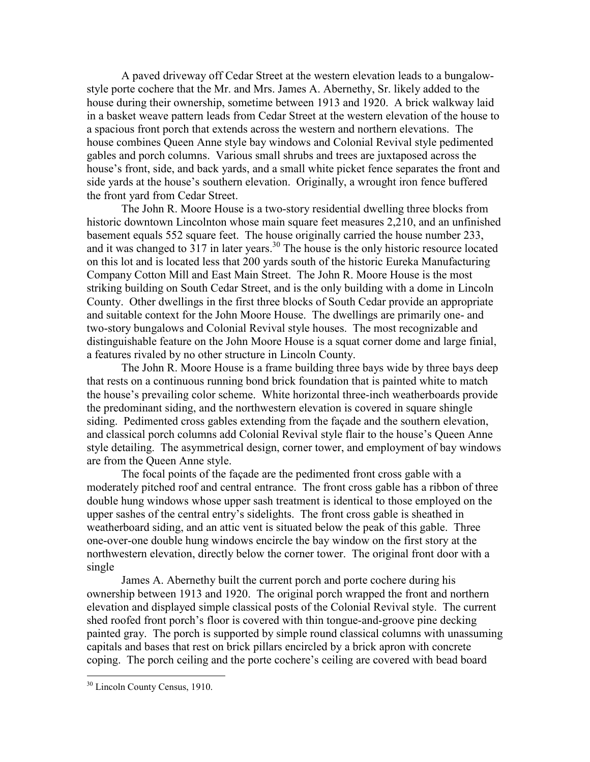A paved driveway off Cedar Street at the western elevation leads to a bungalowstyle porte cochere that the Mr. and Mrs. James A. Abernethy, Sr. likely added to the house during their ownership, sometime between 1913 and 1920. A brick walkway laid in a basket weave pattern leads from Cedar Street at the western elevation of the house to a spacious front porch that extends across the western and northern elevations. The house combines Queen Anne style bay windows and Colonial Revival style pedimented gables and porch columns. Various small shrubs and trees are juxtaposed across the house's front, side, and back yards, and a small white picket fence separates the front and side yards at the house's southern elevation. Originally, a wrought iron fence buffered the front yard from Cedar Street.

The John R. Moore House is a two-story residential dwelling three blocks from historic downtown Lincolnton whose main square feet measures 2,210, and an unfinished basement equals 552 square feet. The house originally carried the house number 233, and it was changed to  $317$  in later years.<sup>30</sup> The house is the only historic resource located on this lot and is located less that 200 yards south of the historic Eureka Manufacturing Company Cotton Mill and East Main Street. The John R. Moore House is the most striking building on South Cedar Street, and is the only building with a dome in Lincoln County. Other dwellings in the first three blocks of South Cedar provide an appropriate and suitable context for the John Moore House. The dwellings are primarily one- and two-story bungalows and Colonial Revival style houses. The most recognizable and distinguishable feature on the John Moore House is a squat corner dome and large finial, a features rivaled by no other structure in Lincoln County.

The John R. Moore House is a frame building three bays wide by three bays deep that rests on a continuous running bond brick foundation that is painted white to match the house's prevailing color scheme. White horizontal three-inch weatherboards provide the predominant siding, and the northwestern elevation is covered in square shingle siding. Pedimented cross gables extending from the façade and the southern elevation, and classical porch columns add Colonial Revival style flair to the house's Queen Anne style detailing. The asymmetrical design, corner tower, and employment of bay windows are from the Queen Anne style.

The focal points of the façade are the pedimented front cross gable with a moderately pitched roof and central entrance. The front cross gable has a ribbon of three double hung windows whose upper sash treatment is identical to those employed on the upper sashes of the central entry's sidelights. The front cross gable is sheathed in weatherboard siding, and an attic vent is situated below the peak of this gable. Three one-over-one double hung windows encircle the bay window on the first story at the northwestern elevation, directly below the corner tower. The original front door with a single

James A. Abernethy built the current porch and porte cochere during his ownership between 1913 and 1920. The original porch wrapped the front and northern elevation and displayed simple classical posts of the Colonial Revival style. The current shed roofed front porch's floor is covered with thin tongue-and-groove pine decking painted gray. The porch is supported by simple round classical columns with unassuming capitals and bases that rest on brick pillars encircled by a brick apron with concrete coping. The porch ceiling and the porte cochere's ceiling are covered with bead board

 $\overline{a}$ 

<sup>30</sup> Lincoln County Census, 1910.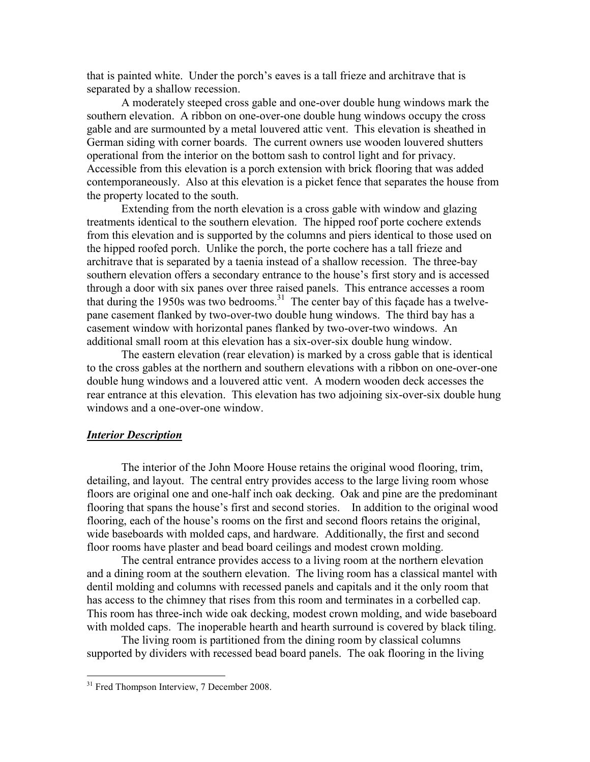that is painted white. Under the porch's eaves is a tall frieze and architrave that is separated by a shallow recession.

A moderately steeped cross gable and one-over double hung windows mark the southern elevation. A ribbon on one-over-one double hung windows occupy the cross gable and are surmounted by a metal louvered attic vent. This elevation is sheathed in German siding with corner boards. The current owners use wooden louvered shutters operational from the interior on the bottom sash to control light and for privacy. Accessible from this elevation is a porch extension with brick flooring that was added contemporaneously. Also at this elevation is a picket fence that separates the house from the property located to the south.

Extending from the north elevation is a cross gable with window and glazing treatments identical to the southern elevation. The hipped roof porte cochere extends from this elevation and is supported by the columns and piers identical to those used on the hipped roofed porch. Unlike the porch, the porte cochere has a tall frieze and architrave that is separated by a taenia instead of a shallow recession. The three-bay southern elevation offers a secondary entrance to the house's first story and is accessed through a door with six panes over three raised panels. This entrance accesses a room that during the 1950s was two bedrooms.<sup>31</sup> The center bay of this façade has a twelvepane casement flanked by two-over-two double hung windows. The third bay has a casement window with horizontal panes flanked by two-over-two windows. An additional small room at this elevation has a six-over-six double hung window.

The eastern elevation (rear elevation) is marked by a cross gable that is identical to the cross gables at the northern and southern elevations with a ribbon on one-over-one double hung windows and a louvered attic vent. A modern wooden deck accesses the rear entrance at this elevation. This elevation has two adjoining six-over-six double hung windows and a one-over-one window.

### *Interior Description*

The interior of the John Moore House retains the original wood flooring, trim, detailing, and layout. The central entry provides access to the large living room whose floors are original one and one-half inch oak decking. Oak and pine are the predominant flooring that spans the house's first and second stories. In addition to the original wood flooring, each of the house's rooms on the first and second floors retains the original, wide baseboards with molded caps, and hardware. Additionally, the first and second floor rooms have plaster and bead board ceilings and modest crown molding.

 The central entrance provides access to a living room at the northern elevation and a dining room at the southern elevation. The living room has a classical mantel with dentil molding and columns with recessed panels and capitals and it the only room that has access to the chimney that rises from this room and terminates in a corbelled cap. This room has three-inch wide oak decking, modest crown molding, and wide baseboard with molded caps. The inoperable hearth and hearth surround is covered by black tiling.

 The living room is partitioned from the dining room by classical columns supported by dividers with recessed bead board panels. The oak flooring in the living

 $\overline{a}$ 

<sup>&</sup>lt;sup>31</sup> Fred Thompson Interview, 7 December 2008.